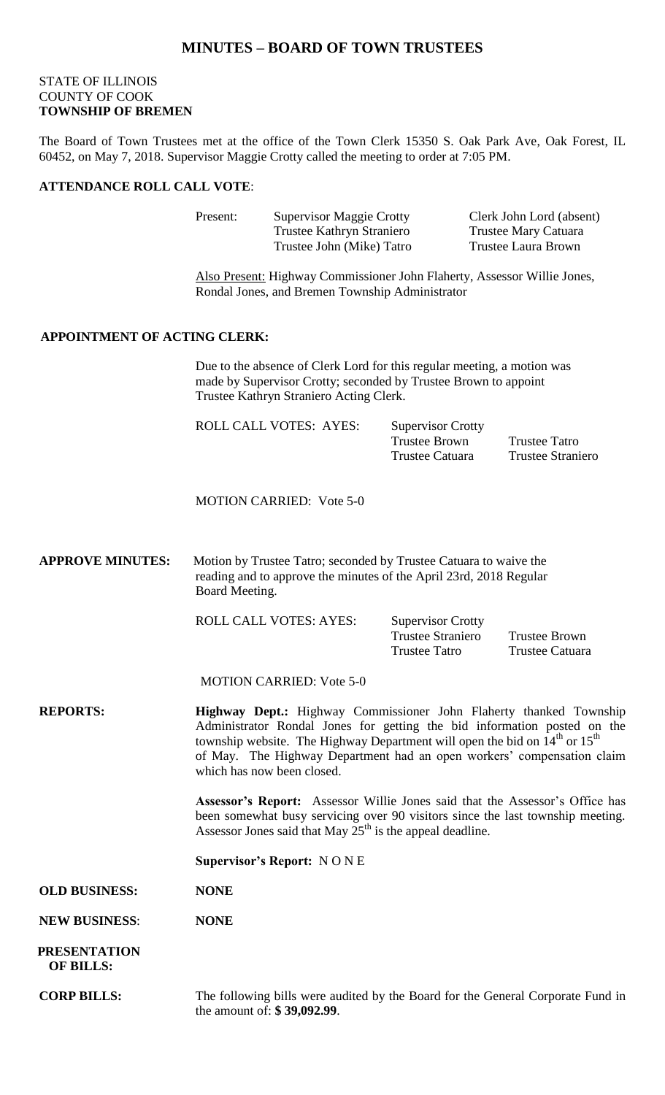## **MINUTES – BOARD OF TOWN TRUSTEES**

## STATE OF ILLINOIS COUNTY OF COOK **TOWNSHIP OF BREMEN**

The Board of Town Trustees met at the office of the Town Clerk 15350 S. Oak Park Ave, Oak Forest, IL 60452, on May 7, 2018. Supervisor Maggie Crotty called the meeting to order at 7:05 PM.

#### **ATTENDANCE ROLL CALL VOTE**:

| <b>Supervisor Maggie Crotty</b> | Clerk John Lord (absent) |
|---------------------------------|--------------------------|
| Trustee Kathryn Straniero       | Trustee Mary Catuara     |
| Trustee John (Mike) Tatro       | Trustee Laura Brown      |
|                                 |                          |

Also Present: Highway Commissioner John Flaherty, Assessor Willie Jones, Rondal Jones, and Bremen Township Administrator

## **APPOINTMENT OF ACTING CLERK:**

Due to the absence of Clerk Lord for this regular meeting, a motion was made by Supervisor Crotty; seconded by Trustee Brown to appoint Trustee Kathryn Straniero Acting Clerk.

| <b>ROLL CALL VOTES: AYES:</b> | <b>Supervisor Crotty</b> |                   |
|-------------------------------|--------------------------|-------------------|
|                               | Trustee Brown            | Trustee Tatro     |
|                               | Trustee Catuara          | Trustee Straniero |

MOTION CARRIED: Vote 5-0

**APPROVE MINUTES:** Motion by Trustee Tatro; seconded by Trustee Catuara to waive the reading and to approve the minutes of the April 23rd, 2018 Regular Board Meeting.

ROLL CALL VOTES: AYES: Supervisor Crotty

Trustee Straniero Trustee Brown Trustee Tatro Trustee Catuara

MOTION CARRIED: Vote 5-0

**REPORTS: Highway Dept.:** Highway Commissioner John Flaherty thanked Township Administrator Rondal Jones for getting the bid information posted on the township website. The Highway Department will open the bid on  $14<sup>th</sup>$  or  $15<sup>th</sup>$ of May. The Highway Department had an open workers' compensation claim which has now been closed.

> **Assessor's Report:** Assessor Willie Jones said that the Assessor's Office has been somewhat busy servicing over 90 visitors since the last township meeting. Assessor Jones said that May  $25<sup>th</sup>$  is the appeal deadline.

**Supervisor's Report:** N O N E

**OLD BUSINESS: NONE**

**NEW BUSINESS**: **NONE**

 **PRESENTATION OF BILLS:**

**CORP BILLS:** The following bills were audited by the Board for the General Corporate Fund in the amount of: **\$ 39,092.99**.